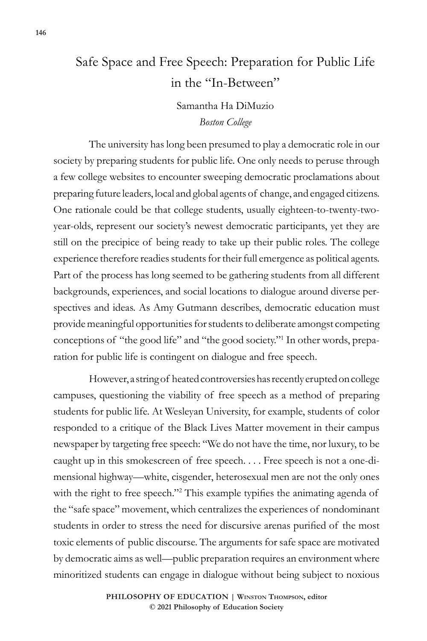# Safe Space and Free Speech: Preparation for Public Life in the "In-Between"

# Samantha Ha DiMuzio *Boston College*

The university has long been presumed to play a democratic role in our society by preparing students for public life. One only needs to peruse through a few college websites to encounter sweeping democratic proclamations about preparing future leaders, local and global agents of change, and engaged citizens. One rationale could be that college students, usually eighteen-to-twenty-twoyear-olds, represent our society's newest democratic participants, yet they are still on the precipice of being ready to take up their public roles. The college experience therefore readies students for their full emergence as political agents. Part of the process has long seemed to be gathering students from all different backgrounds, experiences, and social locations to dialogue around diverse perspectives and ideas. As Amy Gutmann describes, democratic education must provide meaningful opportunities for students to deliberate amongst competing conceptions of "the good life" and "the good society."1 In other words, preparation for public life is contingent on dialogue and free speech.

However, a string of heated controversies has recently erupted on college campuses, questioning the viability of free speech as a method of preparing students for public life. At Wesleyan University, for example, students of color responded to a critique of the Black Lives Matter movement in their campus newspaper by targeting free speech: "We do not have the time, nor luxury, to be caught up in this smokescreen of free speech. . . . Free speech is not a one-dimensional highway—white, cisgender, heterosexual men are not the only ones with the right to free speech."<sup>2</sup> This example typifies the animating agenda of the "safe space" movement, which centralizes the experiences of nondominant students in order to stress the need for discursive arenas purified of the most toxic elements of public discourse. The arguments for safe space are motivated by democratic aims as well—public preparation requires an environment where minoritized students can engage in dialogue without being subject to noxious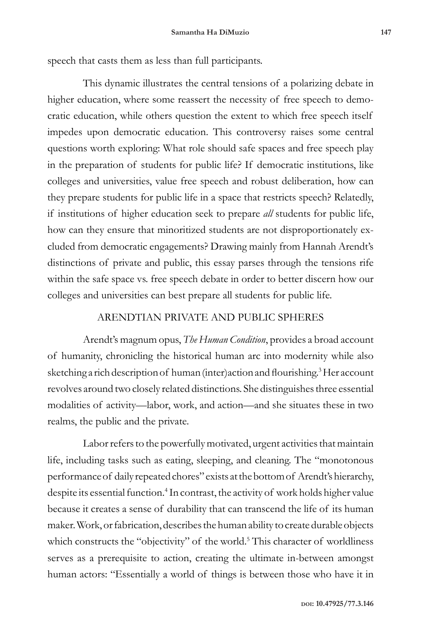speech that casts them as less than full participants.

This dynamic illustrates the central tensions of a polarizing debate in higher education, where some reassert the necessity of free speech to democratic education, while others question the extent to which free speech itself impedes upon democratic education. This controversy raises some central questions worth exploring: What role should safe spaces and free speech play in the preparation of students for public life? If democratic institutions, like colleges and universities, value free speech and robust deliberation, how can they prepare students for public life in a space that restricts speech? Relatedly, if institutions of higher education seek to prepare *all* students for public life, how can they ensure that minoritized students are not disproportionately excluded from democratic engagements? Drawing mainly from Hannah Arendt's distinctions of private and public, this essay parses through the tensions rife within the safe space vs. free speech debate in order to better discern how our colleges and universities can best prepare all students for public life.

# ARENDTIAN PRIVATE AND PUBLIC SPHERES

Arendt's magnum opus, *The Human Condition*, provides a broad account of humanity, chronicling the historical human arc into modernity while also sketching a rich description of human (inter)action and flourishing.<sup>3</sup> Her account revolves around two closely related distinctions. She distinguishes three essential modalities of activity—labor, work, and action—and she situates these in two realms, the public and the private.

Labor refers to the powerfully motivated, urgent activities that maintain life, including tasks such as eating, sleeping, and cleaning. The "monotonous performance of daily repeated chores" exists at the bottom of Arendt's hierarchy, despite its essential function.<sup>4</sup> In contrast, the activity of work holds higher value because it creates a sense of durability that can transcend the life of its human maker. Work, or fabrication, describes the human ability to create durable objects which constructs the "objectivity" of the world.<sup>5</sup> This character of worldliness serves as a prerequisite to action, creating the ultimate in-between amongst human actors: "Essentially a world of things is between those who have it in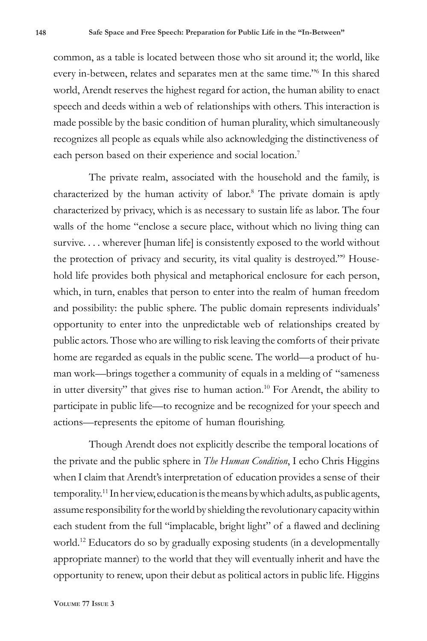common, as a table is located between those who sit around it; the world, like every in-between, relates and separates men at the same time."6 In this shared world, Arendt reserves the highest regard for action, the human ability to enact speech and deeds within a web of relationships with others. This interaction is made possible by the basic condition of human plurality, which simultaneously recognizes all people as equals while also acknowledging the distinctiveness of each person based on their experience and social location.<sup>7</sup>

The private realm, associated with the household and the family, is characterized by the human activity of labor.8 The private domain is aptly characterized by privacy, which is as necessary to sustain life as labor. The four walls of the home "enclose a secure place, without which no living thing can survive.... wherever [human life] is consistently exposed to the world without the protection of privacy and security, its vital quality is destroyed."<sup>9</sup> Household life provides both physical and metaphorical enclosure for each person, which, in turn, enables that person to enter into the realm of human freedom and possibility: the public sphere. The public domain represents individuals' opportunity to enter into the unpredictable web of relationships created by public actors. Those who are willing to risk leaving the comforts of their private home are regarded as equals in the public scene. The world—a product of human work—brings together a community of equals in a melding of "sameness in utter diversity" that gives rise to human action.<sup>10</sup> For Arendt, the ability to participate in public life—to recognize and be recognized for your speech and actions—represents the epitome of human flourishing.

Though Arendt does not explicitly describe the temporal locations of the private and the public sphere in *The Human Condition*, I echo Chris Higgins when I claim that Arendt's interpretation of education provides a sense of their temporality.11 In her view, education is the means by which adults, as public agents, assume responsibility for the world by shielding the revolutionary capacity within each student from the full "implacable, bright light" of a flawed and declining world.12 Educators do so by gradually exposing students (in a developmentally appropriate manner) to the world that they will eventually inherit and have the opportunity to renew, upon their debut as political actors in public life. Higgins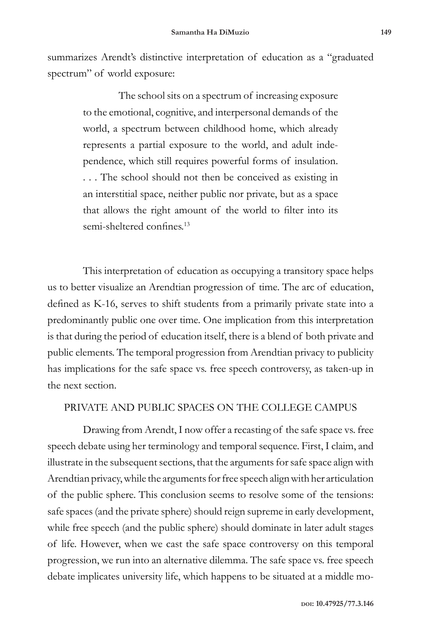summarizes Arendt's distinctive interpretation of education as a "graduated spectrum" of world exposure:

> The school sits on a spectrum of increasing exposure to the emotional, cognitive, and interpersonal demands of the world, a spectrum between childhood home, which already represents a partial exposure to the world, and adult independence, which still requires powerful forms of insulation. . . . The school should not then be conceived as existing in an interstitial space, neither public nor private, but as a space that allows the right amount of the world to filter into its semi-sheltered confines.<sup>13</sup>

This interpretation of education as occupying a transitory space helps us to better visualize an Arendtian progression of time. The arc of education, defined as K-16, serves to shift students from a primarily private state into a predominantly public one over time. One implication from this interpretation is that during the period of education itself, there is a blend of both private and public elements. The temporal progression from Arendtian privacy to publicity has implications for the safe space vs. free speech controversy, as taken-up in the next section.

## PRIVATE AND PUBLIC SPACES ON THE COLLEGE CAMPUS

Drawing from Arendt, I now offer a recasting of the safe space vs. free speech debate using her terminology and temporal sequence. First, I claim, and illustrate in the subsequent sections, that the arguments for safe space align with Arendtian privacy, while the arguments for free speech align with her articulation of the public sphere. This conclusion seems to resolve some of the tensions: safe spaces (and the private sphere) should reign supreme in early development, while free speech (and the public sphere) should dominate in later adult stages of life. However, when we cast the safe space controversy on this temporal progression, we run into an alternative dilemma. The safe space vs. free speech debate implicates university life, which happens to be situated at a middle mo-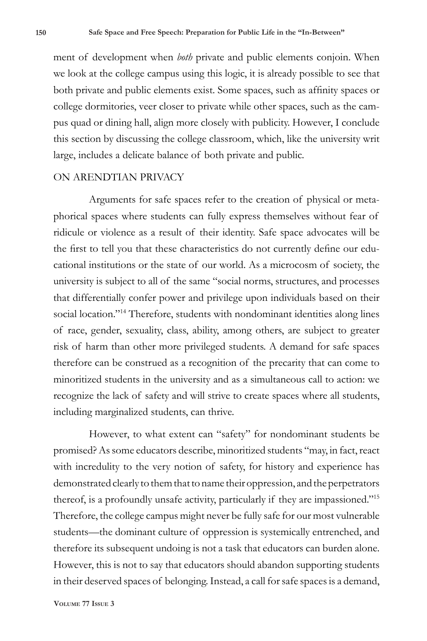ment of development when *both* private and public elements conjoin. When we look at the college campus using this logic, it is already possible to see that both private and public elements exist. Some spaces, such as affinity spaces or college dormitories, veer closer to private while other spaces, such as the campus quad or dining hall, align more closely with publicity. However, I conclude this section by discussing the college classroom, which, like the university writ large, includes a delicate balance of both private and public.

#### ON ARENDTIAN PRIVACY

Arguments for safe spaces refer to the creation of physical or metaphorical spaces where students can fully express themselves without fear of ridicule or violence as a result of their identity. Safe space advocates will be the first to tell you that these characteristics do not currently define our educational institutions or the state of our world. As a microcosm of society, the university is subject to all of the same "social norms, structures, and processes that differentially confer power and privilege upon individuals based on their social location."<sup>14</sup> Therefore, students with nondominant identities along lines of race, gender, sexuality, class, ability, among others, are subject to greater risk of harm than other more privileged students. A demand for safe spaces therefore can be construed as a recognition of the precarity that can come to minoritized students in the university and as a simultaneous call to action: we recognize the lack of safety and will strive to create spaces where all students, including marginalized students, can thrive.

However, to what extent can "safety" for nondominant students be promised? As some educators describe, minoritized students "may, in fact, react with incredulity to the very notion of safety, for history and experience has demonstrated clearly to them that to name their oppression, and the perpetrators thereof, is a profoundly unsafe activity, particularly if they are impassioned."15 Therefore, the college campus might never be fully safe for our most vulnerable students—the dominant culture of oppression is systemically entrenched, and therefore its subsequent undoing is not a task that educators can burden alone. However, this is not to say that educators should abandon supporting students in their deserved spaces of belonging. Instead, a call for safe spaces is a demand,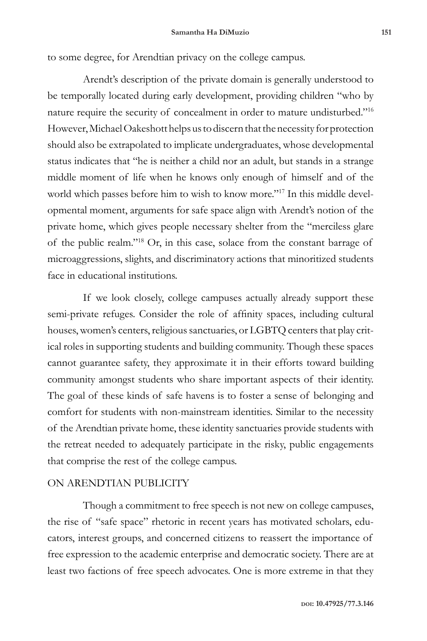to some degree, for Arendtian privacy on the college campus.

Arendt's description of the private domain is generally understood to be temporally located during early development, providing children "who by nature require the security of concealment in order to mature undisturbed."16 However, Michael Oakeshott helps us to discern that the necessity for protection should also be extrapolated to implicate undergraduates, whose developmental status indicates that "he is neither a child nor an adult, but stands in a strange middle moment of life when he knows only enough of himself and of the world which passes before him to wish to know more."17 In this middle developmental moment, arguments for safe space align with Arendt's notion of the private home, which gives people necessary shelter from the "merciless glare of the public realm."18 Or, in this case, solace from the constant barrage of microaggressions, slights, and discriminatory actions that minoritized students face in educational institutions.

If we look closely, college campuses actually already support these semi-private refuges. Consider the role of affinity spaces, including cultural houses, women's centers, religious sanctuaries, or LGBTQ centers that play critical roles in supporting students and building community. Though these spaces cannot guarantee safety, they approximate it in their efforts toward building community amongst students who share important aspects of their identity. The goal of these kinds of safe havens is to foster a sense of belonging and comfort for students with non-mainstream identities. Similar to the necessity of the Arendtian private home, these identity sanctuaries provide students with the retreat needed to adequately participate in the risky, public engagements that comprise the rest of the college campus.

# ON ARENDTIAN PUBLICITY

Though a commitment to free speech is not new on college campuses, the rise of "safe space" rhetoric in recent years has motivated scholars, educators, interest groups, and concerned citizens to reassert the importance of free expression to the academic enterprise and democratic society. There are at least two factions of free speech advocates. One is more extreme in that they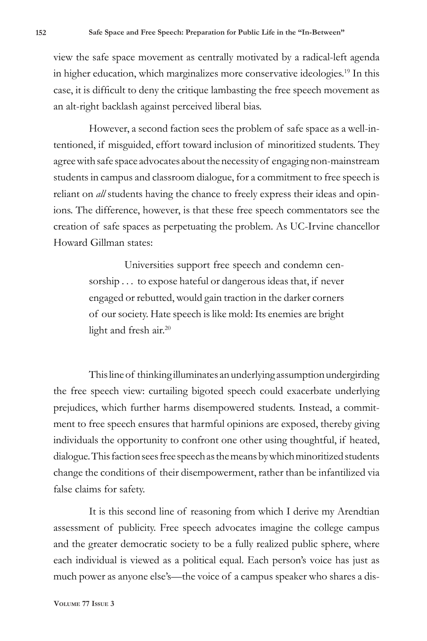view the safe space movement as centrally motivated by a radical-left agenda in higher education, which marginalizes more conservative ideologies.<sup>19</sup> In this case, it is difficult to deny the critique lambasting the free speech movement as an alt-right backlash against perceived liberal bias.

However, a second faction sees the problem of safe space as a well-intentioned, if misguided, effort toward inclusion of minoritized students. They agree with safe space advocates about the necessity of engaging non-mainstream students in campus and classroom dialogue, for a commitment to free speech is reliant on *all* students having the chance to freely express their ideas and opinions. The difference, however, is that these free speech commentators see the creation of safe spaces as perpetuating the problem. As UC-Irvine chancellor Howard Gillman states:

> Universities support free speech and condemn censorship . . . to expose hateful or dangerous ideas that, if never engaged or rebutted, would gain traction in the darker corners of our society. Hate speech is like mold: Its enemies are bright light and fresh air.<sup>20</sup>

This line of thinking illuminates an underlying assumption undergirding the free speech view: curtailing bigoted speech could exacerbate underlying prejudices, which further harms disempowered students. Instead, a commitment to free speech ensures that harmful opinions are exposed, thereby giving individuals the opportunity to confront one other using thoughtful, if heated, dialogue. This faction sees free speech as the means by which minoritized students change the conditions of their disempowerment, rather than be infantilized via false claims for safety.

It is this second line of reasoning from which I derive my Arendtian assessment of publicity. Free speech advocates imagine the college campus and the greater democratic society to be a fully realized public sphere, where each individual is viewed as a political equal. Each person's voice has just as much power as anyone else's—the voice of a campus speaker who shares a dis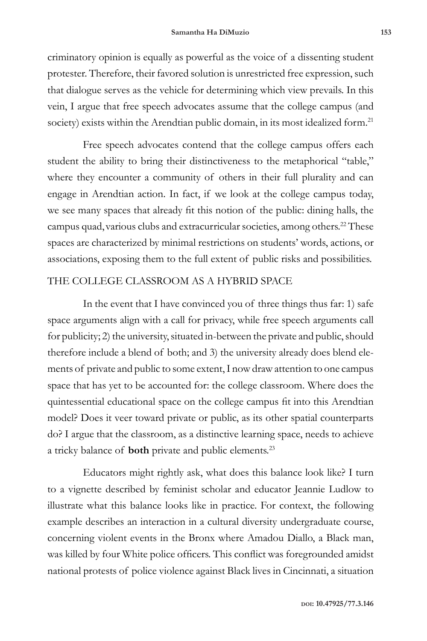criminatory opinion is equally as powerful as the voice of a dissenting student protester. Therefore, their favored solution is unrestricted free expression, such that dialogue serves as the vehicle for determining which view prevails. In this vein, I argue that free speech advocates assume that the college campus (and society) exists within the Arendtian public domain, in its most idealized form.<sup>21</sup>

Free speech advocates contend that the college campus offers each student the ability to bring their distinctiveness to the metaphorical "table," where they encounter a community of others in their full plurality and can engage in Arendtian action. In fact, if we look at the college campus today, we see many spaces that already fit this notion of the public: dining halls, the campus quad, various clubs and extracurricular societies, among others.<sup>22</sup> These spaces are characterized by minimal restrictions on students' words, actions, or associations, exposing them to the full extent of public risks and possibilities.

# THE COLLEGE CLASSROOM AS A HYBRID SPACE

In the event that I have convinced you of three things thus far: 1) safe space arguments align with a call for privacy, while free speech arguments call for publicity; 2) the university, situated in-between the private and public, should therefore include a blend of both; and 3) the university already does blend elements of private and public to some extent, I now draw attention to one campus space that has yet to be accounted for: the college classroom. Where does the quintessential educational space on the college campus fit into this Arendtian model? Does it veer toward private or public, as its other spatial counterparts do? I argue that the classroom, as a distinctive learning space, needs to achieve a tricky balance of **both** private and public elements.23

Educators might rightly ask, what does this balance look like? I turn to a vignette described by feminist scholar and educator Jeannie Ludlow to illustrate what this balance looks like in practice. For context, the following example describes an interaction in a cultural diversity undergraduate course, concerning violent events in the Bronx where Amadou Diallo, a Black man, was killed by four White police officers. This conflict was foregrounded amidst national protests of police violence against Black lives in Cincinnati, a situation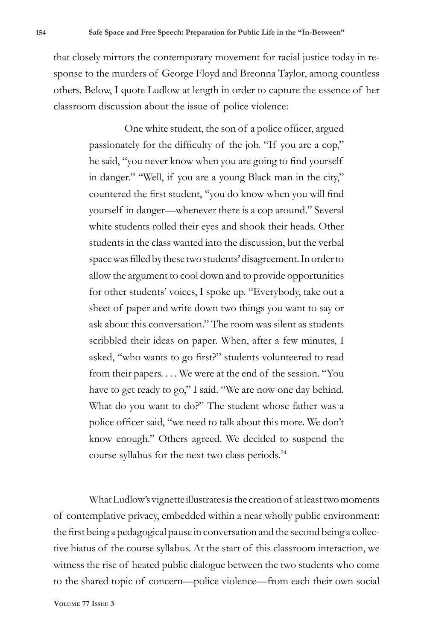that closely mirrors the contemporary movement for racial justice today in response to the murders of George Floyd and Breonna Taylor, among countless others. Below, I quote Ludlow at length in order to capture the essence of her classroom discussion about the issue of police violence:

> One white student, the son of a police officer, argued passionately for the difficulty of the job. "If you are a cop," he said, "you never know when you are going to find yourself in danger." "Well, if you are a young Black man in the city," countered the first student, "you do know when you will find yourself in danger—whenever there is a cop around." Several white students rolled their eyes and shook their heads. Other students in the class wanted into the discussion, but the verbal space was filled by these two students' disagreement. In order to allow the argument to cool down and to provide opportunities for other students' voices, I spoke up. "Everybody, take out a sheet of paper and write down two things you want to say or ask about this conversation." The room was silent as students scribbled their ideas on paper. When, after a few minutes, I asked, "who wants to go first?" students volunteered to read from their papers. . . . We were at the end of the session. "You have to get ready to go," I said. "We are now one day behind. What do you want to do?" The student whose father was a police officer said, "we need to talk about this more. We don't know enough." Others agreed. We decided to suspend the course syllabus for the next two class periods.<sup>24</sup>

What Ludlow's vignette illustrates is the creation of at least two moments of contemplative privacy, embedded within a near wholly public environment: the first being a pedagogical pause in conversation and the second being a collective hiatus of the course syllabus. At the start of this classroom interaction, we witness the rise of heated public dialogue between the two students who come to the shared topic of concern—police violence—from each their own social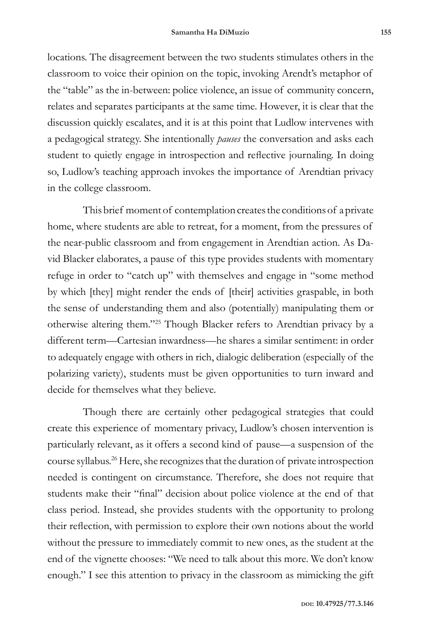locations. The disagreement between the two students stimulates others in the classroom to voice their opinion on the topic, invoking Arendt's metaphor of the "table" as the in-between: police violence, an issue of community concern, relates and separates participants at the same time. However, it is clear that the discussion quickly escalates, and it is at this point that Ludlow intervenes with a pedagogical strategy. She intentionally *pauses* the conversation and asks each student to quietly engage in introspection and reflective journaling. In doing so, Ludlow's teaching approach invokes the importance of Arendtian privacy in the college classroom.

This brief moment of contemplation creates the conditions of a private home, where students are able to retreat, for a moment, from the pressures of the near-public classroom and from engagement in Arendtian action. As David Blacker elaborates, a pause of this type provides students with momentary refuge in order to "catch up" with themselves and engage in "some method by which [they] might render the ends of [their] activities graspable, in both the sense of understanding them and also (potentially) manipulating them or otherwise altering them."25 Though Blacker refers to Arendtian privacy by a different term—Cartesian inwardness—he shares a similar sentiment: in order to adequately engage with others in rich, dialogic deliberation (especially of the polarizing variety), students must be given opportunities to turn inward and decide for themselves what they believe.

Though there are certainly other pedagogical strategies that could create this experience of momentary privacy, Ludlow's chosen intervention is particularly relevant, as it offers a second kind of pause—a suspension of the course syllabus.26 Here, she recognizes that the duration of private introspection needed is contingent on circumstance. Therefore, she does not require that students make their "final" decision about police violence at the end of that class period. Instead, she provides students with the opportunity to prolong their reflection, with permission to explore their own notions about the world without the pressure to immediately commit to new ones, as the student at the end of the vignette chooses: "We need to talk about this more. We don't know enough." I see this attention to privacy in the classroom as mimicking the gift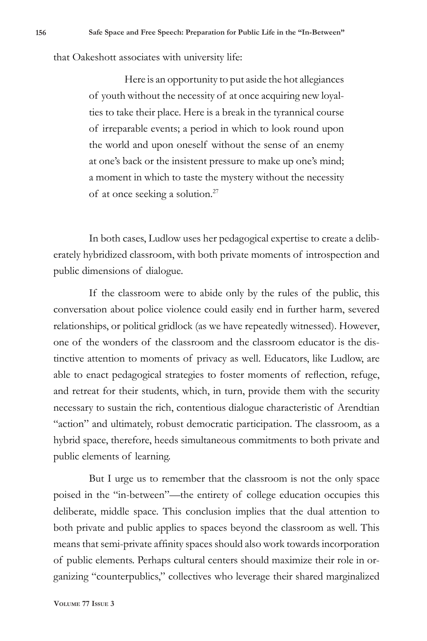that Oakeshott associates with university life:

Here is an opportunity to put aside the hot allegiances of youth without the necessity of at once acquiring new loyalties to take their place. Here is a break in the tyrannical course of irreparable events; a period in which to look round upon the world and upon oneself without the sense of an enemy at one's back or the insistent pressure to make up one's mind; a moment in which to taste the mystery without the necessity of at once seeking a solution.27

In both cases, Ludlow uses her pedagogical expertise to create a deliberately hybridized classroom, with both private moments of introspection and public dimensions of dialogue.

If the classroom were to abide only by the rules of the public, this conversation about police violence could easily end in further harm, severed relationships, or political gridlock (as we have repeatedly witnessed). However, one of the wonders of the classroom and the classroom educator is the distinctive attention to moments of privacy as well. Educators, like Ludlow, are able to enact pedagogical strategies to foster moments of reflection, refuge, and retreat for their students, which, in turn, provide them with the security necessary to sustain the rich, contentious dialogue characteristic of Arendtian "action" and ultimately, robust democratic participation. The classroom, as a hybrid space, therefore, heeds simultaneous commitments to both private and public elements of learning.

But I urge us to remember that the classroom is not the only space poised in the "in-between"—the entirety of college education occupies this deliberate, middle space. This conclusion implies that the dual attention to both private and public applies to spaces beyond the classroom as well. This means that semi-private affinity spaces should also work towards incorporation of public elements. Perhaps cultural centers should maximize their role in organizing "counterpublics," collectives who leverage their shared marginalized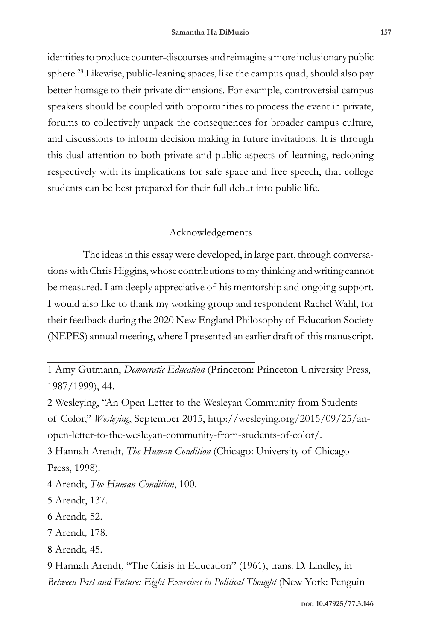identities to produce counter-discourses and reimagine a more inclusionary public sphere.<sup>28</sup> Likewise, public-leaning spaces, like the campus quad, should also pay better homage to their private dimensions. For example, controversial campus speakers should be coupled with opportunities to process the event in private, forums to collectively unpack the consequences for broader campus culture, and discussions to inform decision making in future invitations. It is through this dual attention to both private and public aspects of learning, reckoning respectively with its implications for safe space and free speech, that college students can be best prepared for their full debut into public life.

# Acknowledgements

The ideas in this essay were developed, in large part, through conversations with Chris Higgins, whose contributions to my thinking and writing cannot be measured. I am deeply appreciative of his mentorship and ongoing support. I would also like to thank my working group and respondent Rachel Wahl, for their feedback during the 2020 New England Philosophy of Education Society (NEPES) annual meeting, where I presented an earlier draft of this manuscript.

1 Amy Gutmann, *Democratic Education* (Princeton: Princeton University Press, 1987/1999), 44.

2 Wesleying, "An Open Letter to the Wesleyan Community from Students of Color," *Wesleying*, September 2015, http://wesleying.org/2015/09/25/anopen-letter-to-the-wesleyan-community-from-students-of-color/.

3 Hannah Arendt, *The Human Condition* (Chicago: University of Chicago Press, 1998).

4 Arendt, *The Human Condition*, 100.

5 Arendt, 137.

6 Arendt*,* 52.

7 Arendt*,* 178.

8 Arendt*,* 45.

9 Hannah Arendt, "The Crisis in Education" (1961), trans. D. Lindley, in *Between Past and Future: Eight Exercises in Political Thought* (New York: Penguin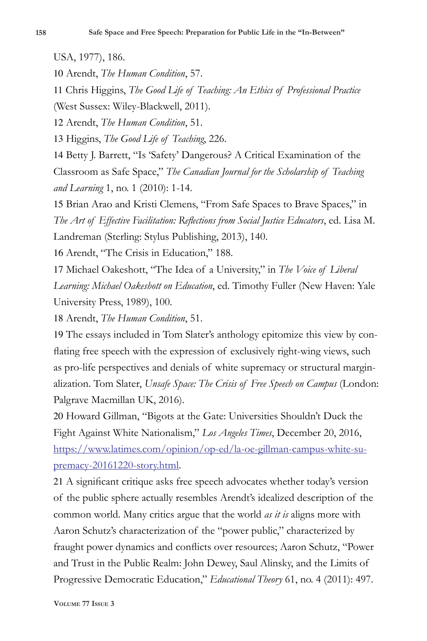USA, 1977), 186.

10 Arendt, *The Human Condition*, 57.

11 Chris Higgins, *The Good Life of Teaching: An Ethics of Professional Practice* (West Sussex: Wiley-Blackwell, 2011).

12 Arendt, *The Human Condition*, 51.

13 Higgins, *The Good Life of Teaching*, 226.

14 Betty J. Barrett, "Is 'Safety' Dangerous? A Critical Examination of the Classroom as Safe Space," *The Canadian Journal for the Scholarship of Teaching and Learning* 1, no. 1 (2010): 1-14.

15 Brian Arao and Kristi Clemens, "From Safe Spaces to Brave Spaces," in *The Art of Effective Facilitation: Reflections from Social Justice Educators*, ed. Lisa M. Landreman (Sterling: Stylus Publishing, 2013), 140.

16 Arendt, "The Crisis in Education," 188.

17 Michael Oakeshott, "The Idea of a University," in *The Voice of Liberal Learning: Michael Oakeshott on Education*, ed. Timothy Fuller (New Haven: Yale University Press, 1989), 100.

18 Arendt, *The Human Condition*, 51.

19 The essays included in Tom Slater's anthology epitomize this view by conflating free speech with the expression of exclusively right-wing views, such as pro-life perspectives and denials of white supremacy or structural marginalization. Tom Slater, *Unsafe Space: The Crisis of Free Speech on Campus* (London: Palgrave Macmillan UK, 2016).

20 Howard Gillman, "Bigots at the Gate: Universities Shouldn't Duck the Fight Against White Nationalism," *Los Angeles Times*, December 20, 2016, https://www.latimes.com/opinion/op-ed/la-oe-gillman-campus-white-supremacy-20161220-story.html.

21 A significant critique asks free speech advocates whether today's version of the public sphere actually resembles Arendt's idealized description of the common world. Many critics argue that the world *as it is* aligns more with Aaron Schutz's characterization of the "power public," characterized by fraught power dynamics and conflicts over resources; Aaron Schutz, "Power and Trust in the Public Realm: John Dewey, Saul Alinsky, and the Limits of Progressive Democratic Education," *Educational Theory* 61, no. 4 (2011): 497.